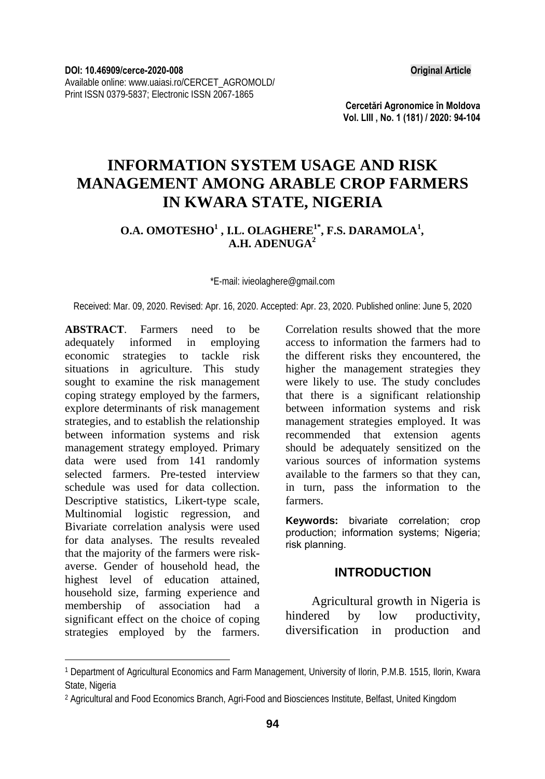**Cercetări Agronomice în Moldova Vol. LIII , No. 1 (181) / 2020: 94-104** 

# **INFORMATION SYSTEM USAGE AND RISK MANAGEMENT AMONG ARABLE CROP FARMERS IN KWARA STATE, NIGERIA**

### O.A. OMOTESHO<sup>1</sup>, I.L. OLAGHERE<sup>1\*</sup>, F.S. DARAMOLA<sup>1</sup>, **A.H. ADENUGA2**

\*E-mail: ivieolaghere@gmail.com

Received: Mar. 09, 2020. Revised: Apr. 16, 2020. Accepted: Apr. 23, 2020. Published online: June 5, 2020

**ABSTRACT**. Farmers need to be adequately informed in employing economic strategies to tackle risk situations in agriculture. This study sought to examine the risk management coping strategy employed by the farmers, explore determinants of risk management strategies, and to establish the relationship between information systems and risk management strategy employed. Primary data were used from 141 randomly selected farmers. Pre-tested interview schedule was used for data collection. Descriptive statistics, Likert-type scale, Multinomial logistic regression, and Bivariate correlation analysis were used for data analyses. The results revealed that the majority of the farmers were riskaverse. Gender of household head, the highest level of education attained, household size, farming experience and membership of association had a significant effect on the choice of coping strategies employed by the farmers.

l

Correlation results showed that the more access to information the farmers had to the different risks they encountered, the higher the management strategies they were likely to use. The study concludes that there is a significant relationship between information systems and risk management strategies employed. It was recommended that extension agents should be adequately sensitized on the various sources of information systems available to the farmers so that they can, in turn, pass the information to the farmers.

**Keywords:** bivariate correlation; crop production; information systems; Nigeria; risk planning.

#### **INTRODUCTION**

Agricultural growth in Nigeria is hindered by low productivity, diversification in production and

<sup>1</sup> Department of Agricultural Economics and Farm Management, University of Ilorin, P.M.B. 1515, Ilorin, Kwara State, Nigeria

<sup>2</sup> Agricultural and Food Economics Branch, Agri-Food and Biosciences Institute, Belfast, United Kingdom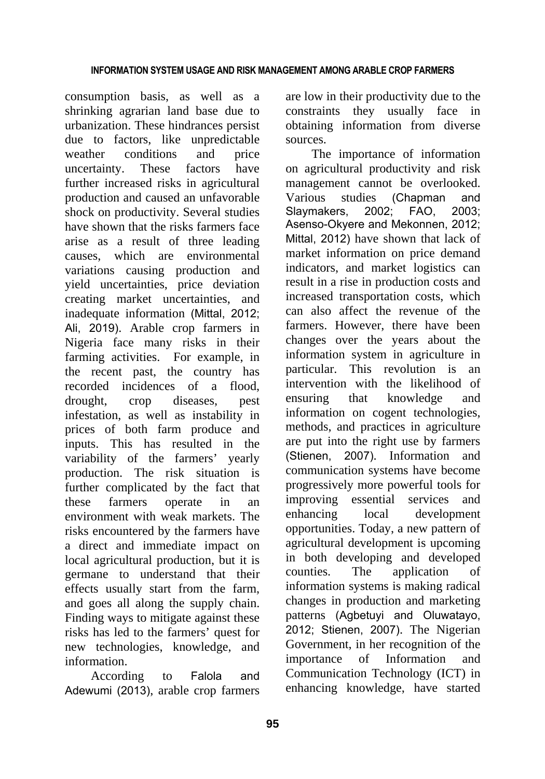consumption basis, as well as a shrinking agrarian land base due to urbanization. These hindrances persist due to factors, like unpredictable weather conditions and price uncertainty. These factors have further increased risks in agricultural production and caused an unfavorable shock on productivity. Several studies have shown that the risks farmers face arise as a result of three leading causes, which are environmental variations causing production and yield uncertainties, price deviation creating market uncertainties, and inadequate information (Mittal, 2012; Ali, 2019). Arable crop farmers in Nigeria face many risks in their farming activities. For example, in the recent past, the country has recorded incidences of a flood, drought, crop diseases, pest infestation, as well as instability in prices of both farm produce and inputs. This has resulted in the variability of the farmers' yearly production. The risk situation is further complicated by the fact that these farmers operate in an environment with weak markets. The risks encountered by the farmers have a direct and immediate impact on local agricultural production, but it is germane to understand that their effects usually start from the farm, and goes all along the supply chain. Finding ways to mitigate against these risks has led to the farmers' quest for new technologies, knowledge, and information.

According to Falola and Adewumi (2013), arable crop farmers

are low in their productivity due to the constraints they usually face in obtaining information from diverse sources.

The importance of information on agricultural productivity and risk management cannot be overlooked. Various studies (Chapman and Slaymakers, 2002; FAO, 2003; Asenso-Okyere and Mekonnen, 2012; Mittal, 2012) have shown that lack of market information on price demand indicators, and market logistics can result in a rise in production costs and increased transportation costs, which can also affect the revenue of the farmers. However, there have been changes over the years about the information system in agriculture in particular. This revolution is an intervention with the likelihood of ensuring that knowledge and information on cogent technologies, methods, and practices in agriculture are put into the right use by farmers (Stienen, 2007). Information and communication systems have become progressively more powerful tools for improving essential services and enhancing local development opportunities. Today, a new pattern of agricultural development is upcoming in both developing and developed counties. The application of information systems is making radical changes in production and marketing patterns (Agbetuyi and Oluwatayo, 2012; Stienen, 2007). The Nigerian Government, in her recognition of the importance of Information and Communication Technology (ICT) in enhancing knowledge, have started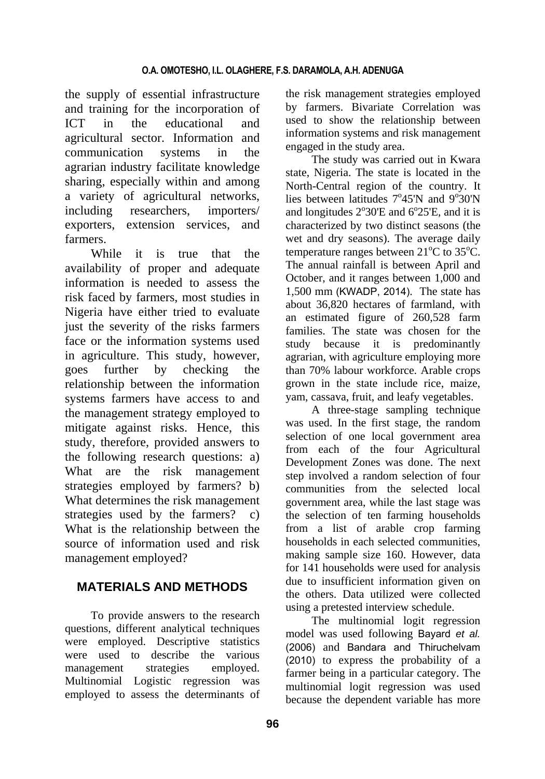the supply of essential infrastructure and training for the incorporation of ICT in the educational and agricultural sector. Information and communication systems in the agrarian industry facilitate knowledge sharing, especially within and among a variety of agricultural networks, including researchers, importers/ exporters, extension services, and farmers.

While it is true that the availability of proper and adequate information is needed to assess the risk faced by farmers, most studies in Nigeria have either tried to evaluate just the severity of the risks farmers face or the information systems used in agriculture. This study, however, goes further by checking the relationship between the information systems farmers have access to and the management strategy employed to mitigate against risks. Hence, this study, therefore, provided answers to the following research questions: a) What are the risk management strategies employed by farmers? b) What determines the risk management strategies used by the farmers? c) What is the relationship between the source of information used and risk management employed?

# **MATERIALS AND METHODS**

To provide answers to the research questions, different analytical techniques were employed. Descriptive statistics were used to describe the various management strategies employed. Multinomial Logistic regression was employed to assess the determinants of

the risk management strategies employed by farmers. Bivariate Correlation was used to show the relationship between information systems and risk management engaged in the study area.

The study was carried out in Kwara state, Nigeria. The state is located in the North-Central region of the country. It lies between latitudes  $7^{\circ}45'N$  and  $9^{\circ}30'N$ and longitudes  $2^{\circ}30'E$  and  $6^{\circ}25'E$ , and it is characterized by two distinct seasons (the wet and dry seasons). The average daily temperature ranges between  $21^{\circ}$ C to  $35^{\circ}$ C. The annual rainfall is between April and October, and it ranges between 1,000 and 1,500 mm (KWADP, 2014). The state has about 36,820 hectares of farmland, with an estimated figure of 260,528 farm families. The state was chosen for the study because it is predominantly agrarian, with agriculture employing more than 70% labour workforce. Arable crops grown in the state include rice, maize, yam, cassava, fruit, and leafy vegetables.

A three-stage sampling technique was used. In the first stage, the random selection of one local government area from each of the four Agricultural Development Zones was done. The next step involved a random selection of four communities from the selected local government area, while the last stage was the selection of ten farming households from a list of arable crop farming households in each selected communities, making sample size 160. However, data for 141 households were used for analysis due to insufficient information given on the others. Data utilized were collected using a pretested interview schedule.

The multinomial logit regression model was used following Bayard *et al.* (2006) and Bandara and Thiruchelvam (2010) to express the probability of a farmer being in a particular category. The multinomial logit regression was used because the dependent variable has more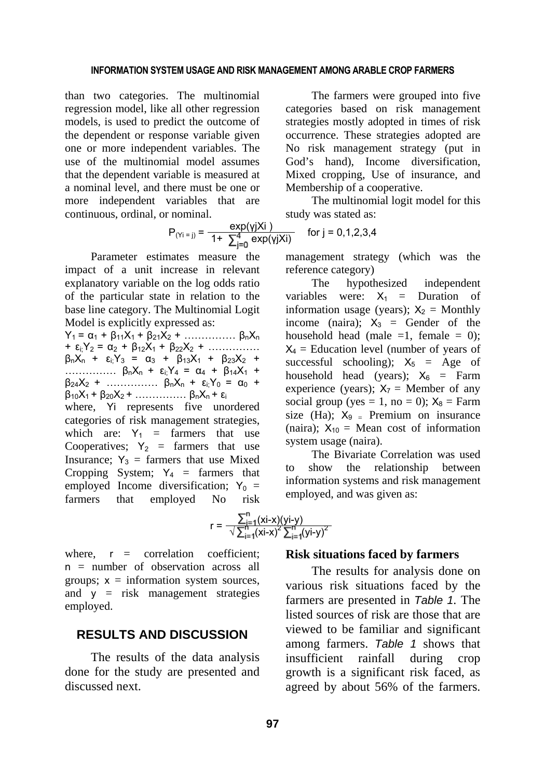than two categories. The multinomial regression model, like all other regression models, is used to predict the outcome of the dependent or response variable given one or more independent variables. The use of the multinomial model assumes that the dependent variable is measured at a nominal level, and there must be one or more independent variables that are continuous, ordinal, or nominal.

 $P_{(Y_i = i)} = \frac{exp(y_jX_i)}{4 + \sum_{i=1}^{4} exp(y_iX_i)}$  for j = 0,1,2,3,4

Parameter estimates measure the impact of a unit increase in relevant explanatory variable on the log odds ratio of the particular state in relation to the base line category. The Multinomial Logit Model is explicitly expressed as:

 $Y_1 = \alpha_1 + \beta_{11}X_1 + \beta_{21}X_2 + \dots + \beta_nX_n$ +  $\varepsilon_i$ ;  $Y_2 = \alpha_2 + \beta_{12}X_1 + \beta_{22}X_2 + \dots$  $\beta_0X_1 + \varepsilon_1Y_3 = \alpha_3 + \beta_{13}X_1 + \beta_{23}X_2 +$ ...............  $\beta_0 X_0 + \varepsilon_1 Y_4 = \alpha_4 + \beta_{14} X_1 +$  $\beta_{24}X_2$  + ……………  $\beta_nX_n$  +  $\varepsilon_iY_0$  =  $\alpha_0$  + β10X1 + β20X2 + …………… βnXn + ε<sup>i</sup> where, Yi represents five unordered categories of risk management strategies, which are:  $Y_1$  = farmers that use Cooperatives;  $Y_2$  = farmers that use Insurance;  $Y_3$  = farmers that use Mixed Cropping System;  $Y_4$  = farmers that employed Income diversification;  $Y_0$  = farmers that employed No risk

The farmers were grouped into five categories based on risk management strategies mostly adopted in times of risk occurrence. These strategies adopted are No risk management strategy (put in God's hand), Income diversification, Mixed cropping, Use of insurance, and Membership of a cooperative.

The multinomial logit model for this study was stated as:

$$
_{j)} = \frac{exp(y)x^{j}}{1 + \sum_{i=0}^{4} exp(y)x^{i}}
$$
 for j =

management strategy (which was the reference category)

The hypothesized independent variables were:  $X_1$  = Duration of information usage (years);  $X_2 =$  Monthly income (naira);  $X_3$  = Gender of the household head (male  $=1$ , female  $= 0$ );  $X_4$  = Education level (number of years of successful schooling);  $X_5$  = Age of household head (years);  $X_6$  = Farm experience (years);  $X_7$  = Member of any social group (yes = 1, no = 0);  $X_8$  = Farm size (Ha);  $X_9$  = Premium on insurance (naira);  $X_{10}$  = Mean cost of information system usage (naira).

The Bivariate Correlation was used to show the relationship between information systems and risk management employed, and was given as:

$$
r = \frac{\sum_{i=1}^{n}(xi-x)(yi-y)}{\sqrt{\sum_{i=1}^{n}(xi-x)^{2}\sum_{i=1}^{n}(yi-y)^{2}}}
$$

 $\overline{\phantom{a}}$ 

where,  $r =$  correlation coefficient;  $n =$  number of observation across all groups;  $x =$  information system sources, and  $y = risk$  management strategies employed.

#### **RESULTS AND DISCUSSION**

The results of the data analysis done for the study are presented and discussed next.

#### **Risk situations faced by farmers**

The results for analysis done on various risk situations faced by the farmers are presented in *Table 1.* The listed sources of risk are those that are viewed to be familiar and significant among farmers. *Table 1* shows that insufficient rainfall during crop growth is a significant risk faced, as agreed by about 56% of the farmers.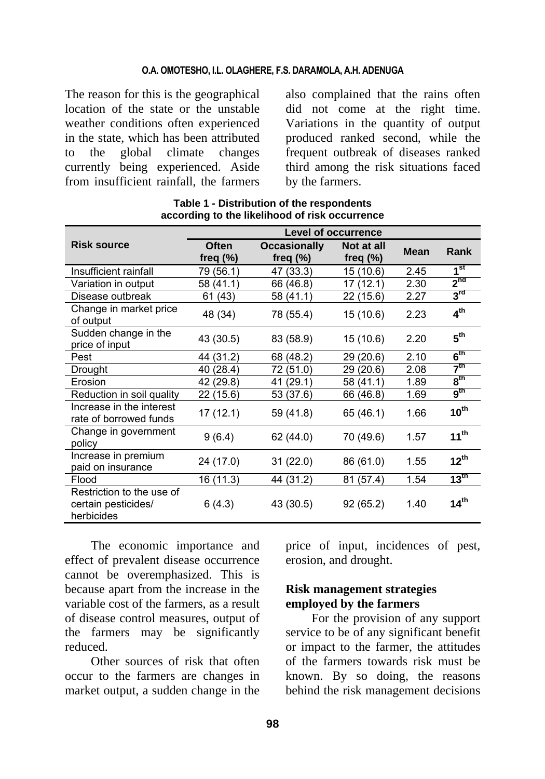#### **O.A. OMOTESHO, I.L. OLAGHERE, F.S. DARAMOLA, A.H. ADENUGA**

The reason for this is the geographical location of the state or the unstable weather conditions often experienced in the state, which has been attributed to the global climate changes currently being experienced. Aside from insufficient rainfall, the farmers

also complained that the rains often did not come at the right time. Variations in the quantity of output produced ranked second, while the frequent outbreak of diseases ranked third among the risk situations faced by the farmers.

|                                                                | <b>Level of occurrence</b>  |                                    |                           |             |                  |
|----------------------------------------------------------------|-----------------------------|------------------------------------|---------------------------|-------------|------------------|
| <b>Risk source</b>                                             | <b>Often</b><br>freq $(\%)$ | <b>Occasionally</b><br>freq $(\%)$ | Not at all<br>freq $(\%)$ | <b>Mean</b> | Rank             |
| Insufficient rainfall                                          | 79 (56.1)                   | 47 (33.3)                          | 15 (10.6)                 | 2.45        | 1 <sup>st</sup>  |
| Variation in output                                            | 58 (41.1)                   | 66 (46.8)                          | 17 (12.1)                 | 2.30        | 2 <sup>nd</sup>  |
| Disease outbreak                                               | 61 (43)                     | 58 (41.1)                          | 22 (15.6)                 | 2.27        | $3^{\text{rd}}$  |
| Change in market price<br>of output                            | 48 (34)                     | 78 (55.4)                          | 15 (10.6)                 | 2.23        | 4 <sup>th</sup>  |
| Sudden change in the<br>price of input                         | 43 (30.5)                   | 83 (58.9)                          | 15 (10.6)                 | 2.20        | 5 <sup>th</sup>  |
| Pest                                                           | 44 (31.2)                   | 68 (48.2)                          | 29 (20.6)                 | 2.10        | $6^{\rm th}$     |
| Drought                                                        | 40 (28.4)                   | 72 (51.0)                          | 29 (20.6)                 | 2.08        | 7 <sup>th</sup>  |
| Erosion                                                        | 42 (29.8)                   | 41 (29.1)                          | 58 (41.1)                 | 1.89        | $8^{\sf th}$     |
| Reduction in soil quality                                      | 22 (15.6)                   | 53 (37.6)                          | 66 (46.8)                 | 1.69        | $9^{\sf th}$     |
| Increase in the interest<br>rate of borrowed funds             | 17(12.1)                    | 59 (41.8)                          | 65 (46.1)                 | 1.66        | $10^{\text{th}}$ |
| Change in government<br>policy                                 | 9(6.4)                      | 62 (44.0)                          | 70 (49.6)                 | 1.57        | $11^{th}$        |
| Increase in premium<br>paid on insurance                       | 24 (17.0)                   | 31(22.0)                           | 86 (61.0)                 | 1.55        | $12^{th}$        |
| Flood                                                          | 16 (11.3)                   | 44 (31.2)                          | 81 (57.4)                 | 1.54        | $13^{\text{th}}$ |
| Restriction to the use of<br>certain pesticides/<br>herbicides | 6(4.3)                      | 43 (30.5)                          | 92 (65.2)                 | 1.40        | 14 <sup>th</sup> |

**Table 1 - Distribution of the respondents according to the likelihood of risk occurrence** 

The economic importance and effect of prevalent disease occurrence cannot be overemphasized. This is because apart from the increase in the variable cost of the farmers, as a result of disease control measures, output of the farmers may be significantly reduced.

Other sources of risk that often occur to the farmers are changes in market output, a sudden change in the

price of input, incidences of pest, erosion, and drought.

### **Risk management strategies employed by the farmers**

For the provision of any support service to be of any significant benefit or impact to the farmer, the attitudes of the farmers towards risk must be known. By so doing, the reasons behind the risk management decisions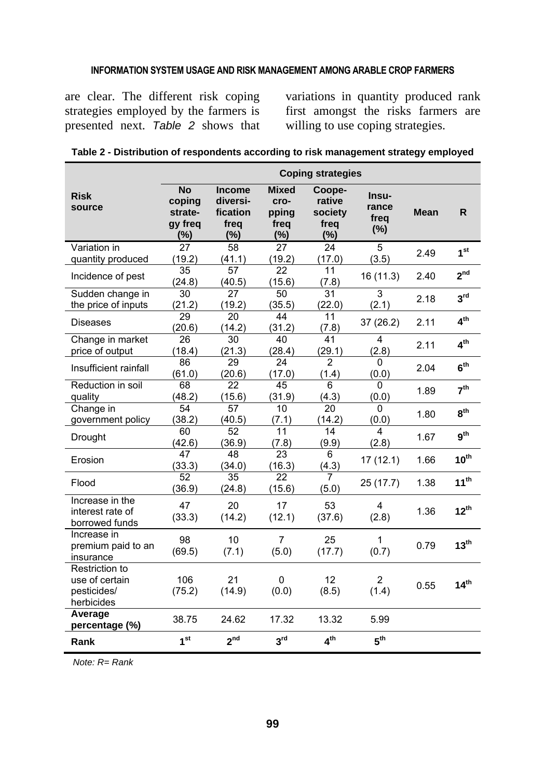are clear. The different risk coping strategies employed by the farmers is presented next. *Table 2* shows that

variations in quantity produced rank first amongst the risks farmers are willing to use coping strategies.

|                                                               |                                                     |                                                         |                                          | <b>Coping strategies</b>                      |                               |             |                  |
|---------------------------------------------------------------|-----------------------------------------------------|---------------------------------------------------------|------------------------------------------|-----------------------------------------------|-------------------------------|-------------|------------------|
| <b>Risk</b><br>source                                         | <b>No</b><br>coping<br>strate-<br>gy freg<br>$(\%)$ | <b>Income</b><br>diversi-<br>fication<br>freq<br>$(\%)$ | Mixed<br>cro-<br>pping<br>freq<br>$(\%)$ | Coope-<br>rative<br>society<br>freq<br>$(\%)$ | Insu-<br>rance<br>freq<br>(%) | <b>Mean</b> | R.               |
| Variation in<br>quantity produced                             | $\overline{27}$<br>(19.2)                           | $\overline{58}$<br>(41.1)                               | 27<br>(19.2)                             | $\overline{24}$<br>(17.0)                     | $\overline{5}$<br>(3.5)       | 2.49        | 1 <sup>st</sup>  |
| Incidence of pest                                             | $\overline{35}$<br>(24.8)                           | $\overline{57}$<br>(40.5)                               | $\overline{22}$<br>(15.6)                | 11<br>(7.8)                                   | 16 (11.3)                     | 2.40        | 2 <sup>nd</sup>  |
| Sudden change in<br>the price of inputs                       | 30<br>(21.2)                                        | 27<br>(19.2)                                            | 50<br>(35.5)                             | $\overline{31}$<br>(22.0)                     | 3<br>(2.1)                    | 2.18        | 3 <sup>rd</sup>  |
| <b>Diseases</b>                                               | 29<br>(20.6)                                        | 20<br>(14.2)                                            | 44<br>(31.2)                             | 11<br>(7.8)                                   | 37 (26.2)                     | 2.11        | 4 <sup>th</sup>  |
| Change in market<br>price of output                           | 26<br>(18.4)                                        | 30<br>(21.3)                                            | 40<br>(28.4)                             | 41<br>(29.1)                                  | 4<br>(2.8)                    | 2.11        | 4 <sup>th</sup>  |
| Insufficient rainfall                                         | 86<br>(61.0)                                        | $\overline{29}$<br>(20.6)                               | $\overline{24}$<br>(17.0)                | $\overline{2}$<br>(1.4)                       | $\mathbf 0$<br>(0.0)          | 2.04        | 6 <sup>th</sup>  |
| Reduction in soil<br>quality                                  | 68<br>(48.2)                                        | 22<br>(15.6)                                            | 45<br>(31.9)                             | 6<br>(4.3)                                    | $\Omega$<br>(0.0)             | 1.89        | 7 <sup>th</sup>  |
| Change in<br>government policy                                | 54<br>(38.2)                                        | 57<br>(40.5)                                            | 10<br>(7.1)                              | 20<br>(14.2)                                  | 0<br>(0.0)                    | 1.80        | 8 <sup>th</sup>  |
| Drought                                                       | 60<br>(42.6)                                        | 52<br>(36.9)                                            | 11<br>(7.8)                              | 14<br>(9.9)                                   | 4<br>(2.8)                    | 1.67        | 9 <sup>th</sup>  |
| Erosion                                                       | $\overline{47}$<br>(33.3)                           | 48<br>(34.0)                                            | $\overline{23}$<br>(16.3)                | 6<br>(4.3)                                    | 17(12.1)                      | 1.66        | $10^{\text{th}}$ |
| Flood                                                         | 52<br>(36.9)                                        | 35<br>(24.8)                                            | 22<br>(15.6)                             | 7<br>(5.0)                                    | 25 (17.7)                     | 1.38        | $11^{th}$        |
| Increase in the<br>interest rate of<br>borrowed funds         | 47<br>(33.3)                                        | 20<br>(14.2)                                            | 17<br>(12.1)                             | 53<br>(37.6)                                  | 4<br>(2.8)                    | 1.36        | $12^{th}$        |
| Increase in<br>premium paid to an<br>insurance                | 98<br>(69.5)                                        | 10<br>(7.1)                                             | 7<br>(5.0)                               | 25<br>(17.7)                                  | 1<br>(0.7)                    | 0.79        | $13^{\text{th}}$ |
| Restriction to<br>use of certain<br>pesticides/<br>herbicides | 106<br>(75.2)                                       | 21<br>(14.9)                                            | 0<br>(0.0)                               | 12<br>(8.5)                                   | $\overline{2}$<br>(1.4)       | 0.55        | 14 <sup>th</sup> |
| Average<br>percentage (%)                                     | 38.75                                               | 24.62                                                   | 17.32                                    | 13.32                                         | 5.99                          |             |                  |
| Rank                                                          | 1 <sup>st</sup>                                     | 2 <sup>nd</sup>                                         | 3 <sup>rd</sup>                          | 4 <sup>th</sup>                               | 5 <sup>th</sup>               |             |                  |

|  |  | Table 2 - Distribution of respondents according to risk management strategy employed |  |
|--|--|--------------------------------------------------------------------------------------|--|
|  |  |                                                                                      |  |

*Note: R= Rank*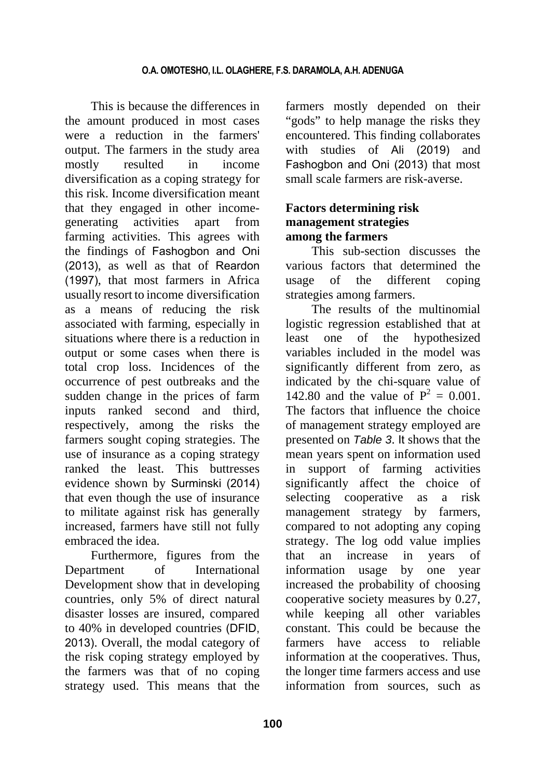This is because the differences in the amount produced in most cases were a reduction in the farmers' output. The farmers in the study area mostly resulted in income diversification as a coping strategy for this risk. Income diversification meant that they engaged in other incomegenerating activities apart from farming activities. This agrees with the findings of Fashogbon and Oni (2013), as well as that of Reardon (1997), that most farmers in Africa usually resort to income diversification as a means of reducing the risk associated with farming, especially in situations where there is a reduction in output or some cases when there is total crop loss. Incidences of the occurrence of pest outbreaks and the sudden change in the prices of farm inputs ranked second and third, respectively, among the risks the farmers sought coping strategies. The use of insurance as a coping strategy ranked the least. This buttresses evidence shown by Surminski (2014) that even though the use of insurance to militate against risk has generally increased, farmers have still not fully embraced the idea.

Furthermore, figures from the Department of International Development show that in developing countries, only 5% of direct natural disaster losses are insured, compared to 40% in developed countries (DFID, 2013). Overall, the modal category of the risk coping strategy employed by the farmers was that of no coping strategy used. This means that the farmers mostly depended on their "gods" to help manage the risks they encountered. This finding collaborates with studies of Ali (2019) and Fashogbon and Oni (2013) that most small scale farmers are risk-averse.

## **Factors determining risk management strategies among the farmers**

This sub-section discusses the various factors that determined the usage of the different coping strategies among farmers.

The results of the multinomial logistic regression established that at least one of the hypothesized variables included in the model was significantly different from zero, as indicated by the chi-square value of 142.80 and the value of  $P^2 = 0.001$ . The factors that influence the choice of management strategy employed are presented on *Table 3*. It shows that the mean years spent on information used in support of farming activities significantly affect the choice of selecting cooperative as a risk management strategy by farmers, compared to not adopting any coping strategy. The log odd value implies that an increase in years of information usage by one year increased the probability of choosing cooperative society measures by 0.27, while keeping all other variables constant. This could be because the farmers have access to reliable information at the cooperatives. Thus, the longer time farmers access and use information from sources, such as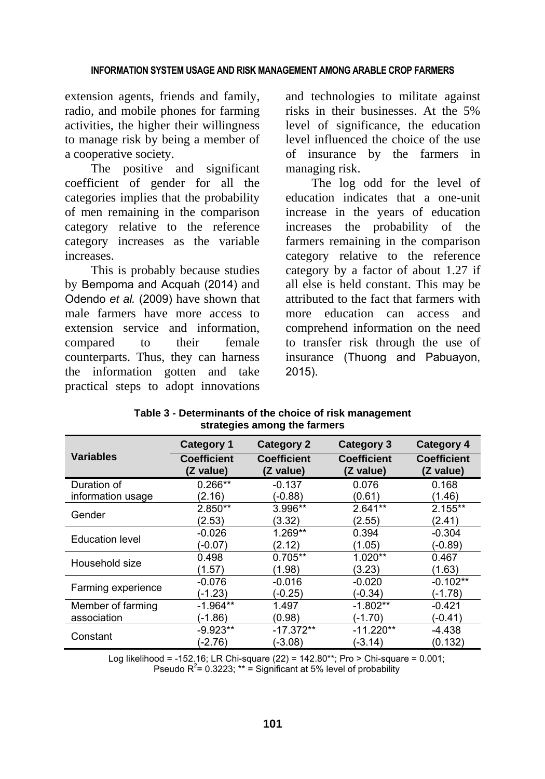extension agents, friends and family, radio, and mobile phones for farming activities, the higher their willingness to manage risk by being a member of a cooperative society.

The positive and significant coefficient of gender for all the categories implies that the probability of men remaining in the comparison category relative to the reference category increases as the variable increases.

This is probably because studies by Bempoma and Acquah (2014) and Odendo *et al.* (2009) have shown that male farmers have more access to extension service and information, compared to their female counterparts. Thus, they can harness the information gotten and take practical steps to adopt innovations and technologies to militate against risks in their businesses. At the 5% level of significance, the education level influenced the choice of the use of insurance by the farmers in managing risk.

The log odd for the level of education indicates that a one-unit increase in the years of education increases the probability of the farmers remaining in the comparison category relative to the reference category by a factor of about 1.27 if all else is held constant. This may be attributed to the fact that farmers with more education can access and comprehend information on the need to transfer risk through the use of insurance (Thuong and Pabuayon, 2015).

|                        | <b>Category 1</b>               | <b>Category 2</b>               | <b>Category 3</b>               | <b>Category 4</b>               |
|------------------------|---------------------------------|---------------------------------|---------------------------------|---------------------------------|
| <b>Variables</b>       | <b>Coefficient</b><br>(Z value) | <b>Coefficient</b><br>(Z value) | <b>Coefficient</b><br>(Z value) | <b>Coefficient</b><br>(Z value) |
| Duration of            | $0.266**$                       | $-0.137$                        | 0.076                           | 0.168                           |
| information usage      | (2.16)                          | (-0.88)                         | (0.61)                          | (1.46)                          |
| Gender                 | $2.850**$                       | $3.996**$                       | 2.641**                         | $2.155**$                       |
|                        | (2.53)                          | (3.32)                          | (2.55)                          | (2.41)                          |
| <b>Education level</b> | $-0.026$                        | 1.269**                         | 0.394                           | $-0.304$                        |
|                        | (-0.07)                         | (2.12)                          | (1.05)                          | (-0.89)                         |
| Household size         | 0.498                           | $0.705**$                       | $1.020**$                       | 0.467                           |
|                        | (1.57)                          | (1.98)                          | (3.23)                          | (1.63)                          |
|                        | $-0.076$                        | $-0.016$                        | $-0.020$                        | $-0.102**$                      |
| Farming experience     | (-1.23)                         | (-0.25)                         | (-0.34)                         | (-1.78)                         |
| Member of farming      | $-1.964**$                      | 1.497                           | $-1.802**$                      | $-0.421$                        |
| association            | (-1.86)                         | (0.98)                          | $(-1.70)$                       | (-0.41)                         |
| Constant               | $-9.923**$                      | $-17.372**$                     | $-11.220**$                     | $-4.438$                        |
|                        | (-2.76)                         | (-3.08)                         | (-3.14)                         | (0.132)                         |

**Table 3 - Determinants of the choice of risk management strategies among the farmers** 

Log likelihood = -152.16; LR Chi-square (22) = 142.80\*\*; Pro > Chi-square = 0.001; Pseudo  $R^2$ = 0.3223; \*\* = Significant at 5% level of probability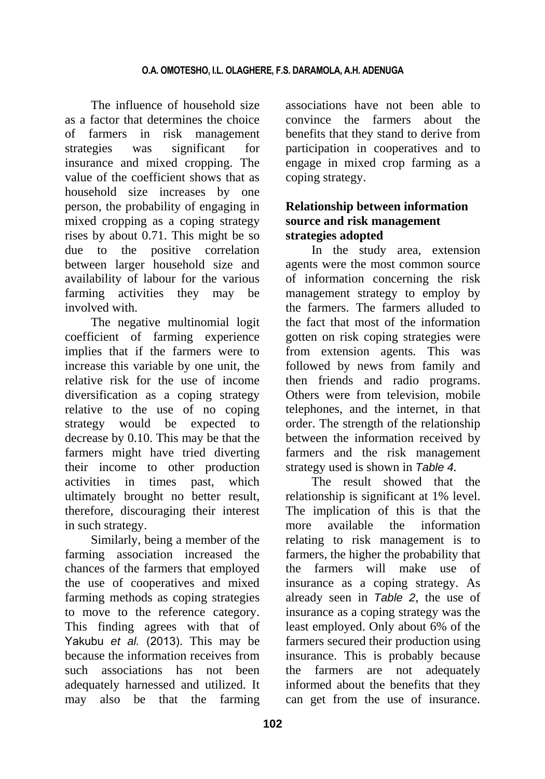The influence of household size as a factor that determines the choice of farmers in risk management strategies was significant for insurance and mixed cropping. The value of the coefficient shows that as household size increases by one person, the probability of engaging in mixed cropping as a coping strategy rises by about 0.71. This might be so due to the positive correlation between larger household size and availability of labour for the various farming activities they may be involved with.

The negative multinomial logit coefficient of farming experience implies that if the farmers were to increase this variable by one unit, the relative risk for the use of income diversification as a coping strategy relative to the use of no coping strategy would be expected to decrease by 0.10. This may be that the farmers might have tried diverting their income to other production activities in times past, which ultimately brought no better result, therefore, discouraging their interest in such strategy.

Similarly, being a member of the farming association increased the chances of the farmers that employed the use of cooperatives and mixed farming methods as coping strategies to move to the reference category. This finding agrees with that of Yakubu *et al.* (2013). This may be because the information receives from such associations has not been adequately harnessed and utilized. It may also be that the farming

associations have not been able to convince the farmers about the benefits that they stand to derive from participation in cooperatives and to engage in mixed crop farming as a coping strategy.

# **Relationship between information source and risk management strategies adopted**

In the study area, extension agents were the most common source of information concerning the risk management strategy to employ by the farmers. The farmers alluded to the fact that most of the information gotten on risk coping strategies were from extension agents. This was followed by news from family and then friends and radio programs. Others were from television, mobile telephones, and the internet, in that order. The strength of the relationship between the information received by farmers and the risk management strategy used is shown in *Table 4.* 

The result showed that the relationship is significant at 1% level. The implication of this is that the more available the information relating to risk management is to farmers, the higher the probability that the farmers will make use of insurance as a coping strategy. As already seen in *Table 2*, the use of insurance as a coping strategy was the least employed. Only about 6% of the farmers secured their production using insurance. This is probably because the farmers are not adequately informed about the benefits that they can get from the use of insurance.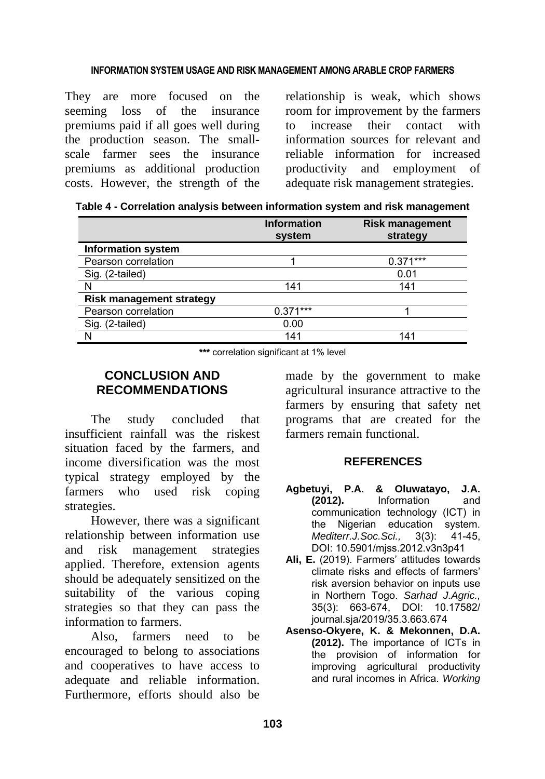They are more focused on the seeming loss of the insurance premiums paid if all goes well during the production season. The smallscale farmer sees the insurance premiums as additional production costs. However, the strength of the relationship is weak, which shows room for improvement by the farmers to increase their contact with information sources for relevant and reliable information for increased productivity and employment of adequate risk management strategies.

|  |  | Table 4 - Correlation analysis between information system and risk management |  |
|--|--|-------------------------------------------------------------------------------|--|
|--|--|-------------------------------------------------------------------------------|--|

|                                 | <b>Information</b><br>system | <b>Risk management</b><br>strategy |
|---------------------------------|------------------------------|------------------------------------|
| <b>Information system</b>       |                              |                                    |
| Pearson correlation             |                              | $0.371***$                         |
| Sig. (2-tailed)                 |                              | 0.01                               |
|                                 | 141                          | 141                                |
| <b>Risk management strategy</b> |                              |                                    |
| Pearson correlation             | $0.371***$                   |                                    |
| Sig. (2-tailed)                 | 0.00                         |                                    |
|                                 | 141                          | 141                                |

**\*\*\*** correlation significant at 1% level

# **CONCLUSION AND RECOMMENDATIONS**

The study concluded that insufficient rainfall was the riskest situation faced by the farmers, and income diversification was the most typical strategy employed by the farmers who used risk coping strategies.

However, there was a significant relationship between information use and risk management strategies applied. Therefore, extension agents should be adequately sensitized on the suitability of the various coping strategies so that they can pass the information to farmers.

Also, farmers need to be encouraged to belong to associations and cooperatives to have access to adequate and reliable information. Furthermore, efforts should also be made by the government to make agricultural insurance attractive to the farmers by ensuring that safety net programs that are created for the farmers remain functional.

### **REFERENCES**

- **Agbetuyi, P.A. & Oluwatayo, J.A. (2012).** Information and communication technology (ICT) in the Nigerian education system. *Mediterr.J.Soc.Sci.,* 3(3): 41-45, DOI: 10.5901/mjss.2012.v3n3p41
- **Ali, E.** (2019). Farmers' attitudes towards climate risks and effects of farmers' risk aversion behavior on inputs use in Northern Togo. *Sarhad J.Agric.,*  35(3): 663-674, DOI: 10.17582/ journal.sja/2019/35.3.663.674
- **Asenso-Okyere, K. & Mekonnen, D.A. (2012).** The importance of ICTs in the provision of information for improving agricultural productivity and rural incomes in Africa. *Working*